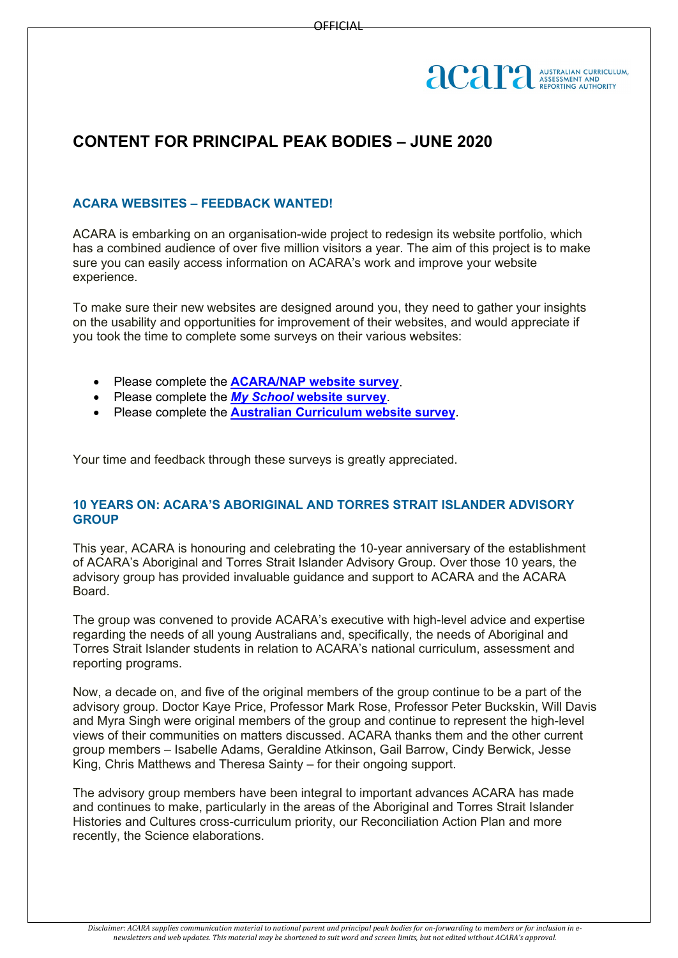

## **CONTENT FOR PRINCIPAL PEAK BODIES – JUNE 2020**

## **ACARA WEBSITES – FEEDBACK WANTED!**

ACARA is embarking on an organisation-wide project to redesign its website portfolio, which has a combined audience of over five million visitors a year. The aim of this project is to make sure you can easily access information on ACARA's work and improve your website experience.

To make sure their new websites are designed around you, they need to gather your insights on the usability and opportunities for improvement of their websites, and would appreciate if you took the time to complete some surveys on their various websites:

- Please complete the **[ACARA/NAP website survey](https://acara.us8.list-manage.com/track/click?u=b3d0c901e40c7b6fcc23dcfed&id=1093ce8fc9&e=bfb735a0bd)**.
- Please complete the *My School* **[website survey](https://acara.us8.list-manage.com/track/click?u=b3d0c901e40c7b6fcc23dcfed&id=6fbc712b96&e=bfb735a0bd)**.
- Please complete the **[Australian Curriculum website survey](https://acara.us8.list-manage.com/track/click?u=b3d0c901e40c7b6fcc23dcfed&id=af3e67784e&e=bfb735a0bd)**.

Your time and feedback through these surveys is greatly appreciated.

## **10 YEARS ON: ACARA'S ABORIGINAL AND TORRES STRAIT ISLANDER ADVISORY GROUP**

This year, ACARA is honouring and celebrating the 10-year anniversary of the establishment of ACARA's Aboriginal and Torres Strait Islander Advisory Group. Over those 10 years, the advisory group has provided invaluable guidance and support to ACARA and the ACARA Board.

The group was convened to provide ACARA's executive with high-level advice and expertise regarding the needs of all young Australians and, specifically, the needs of Aboriginal and Torres Strait Islander students in relation to ACARA's national curriculum, assessment and reporting programs.

Now, a decade on, and five of the original members of the group continue to be a part of the advisory group. Doctor Kaye Price, Professor Mark Rose, Professor Peter Buckskin, Will Davis and Myra Singh were original members of the group and continue to represent the high-level views of their communities on matters discussed. ACARA thanks them and the other current group members – Isabelle Adams, Geraldine Atkinson, Gail Barrow, Cindy Berwick, Jesse King, Chris Matthews and Theresa Sainty – for their ongoing support.

The advisory group members have been integral to important advances ACARA has made and continues to make, particularly in the areas of the Aboriginal and Torres Strait Islander Histories and Cultures cross-curriculum priority, our Reconciliation Action Plan and more recently, the Science elaborations.